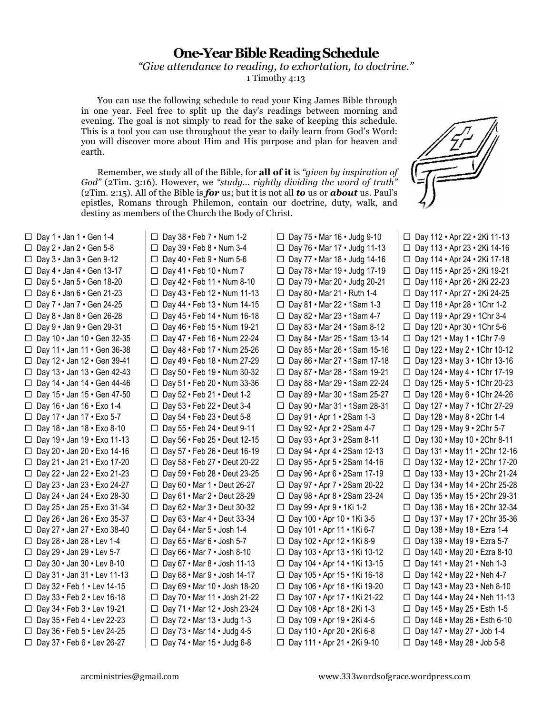## **One-Year Bible Reading Schedule**

*"Give attendance to reading, to exhortation, to doctrine."* 1 Timothy 4:13

You can use the following schedule to read your King James Bible through in one year. Feel free to split up the day's readings between morning and evening. The goal is not simply to read for the sake of keeping this schedule. This is a tool you can use throughout the year to daily learn from God's Word: you will discover more about Him and His purpose and plan for heaven and earth.

Remember, we study all of the Bible, for **all of it** is *"given by inspiration of God"* (2Tim. 3:16). However, we *"study… rightly dividing the word of truth"* (2Tim. 2:15). All of the Bible is *for* us; but it is not all *to* us or *about* us. Paul's epistles, Romans through Philemon, contain our doctrine, duty, walk, and destiny as members of the Church the Body of Christ.

 $\Box$  Day 1 • Jan 1 • Gen 1-4  $\Box$  Day 2 • Jan 2 • Gen 5-8  $\Box$  Day 3 • Jan 3 • Gen 9-12  $\Box$  Day 4 • Jan 4 • Gen 13-17  $\Box$  Day 5 • Jan 5 • Gen 18-20  $\Box$  Day 6 • Jan 6 • Gen 21-23  $\Box$  Day 7 • Jan 7 • Gen 24-25  $\Box$  Day 8 • Jan 8 • Gen 26-28  $\Box$  Day 9 • Jan 9 • Gen 29-31  $\Box$  Day 10  $\cdot$  Jan 10  $\cdot$  Gen 32-35  $\Box$  Day 11 • Jan 11 • Gen 36-38  $\Box$  Day 12 • Jan 12 • Gen 39-41 □ Day 13 • Jan 13 • Gen 42-43  $\Box$  Day 14 • Jan 14 • Gen 44-46  $\Box$  Day 15 • Jan 15 • Gen 47-50  $\Box$  Day 16 • Jan 16 • Exo 1-4  $\Box$  Day 17 • Jan 17 • Exo 5-7  $\Box$  Day 18 • Jan 18 • Exo 8-10  $\Box$  Day 19 • Jan 19 • Exo 11-13  $\Box$  Day 20 • Jan 20 • Exo 14-16  $\Box$  Day 21 • Jan 21 • Exo 17-20  $\Box$  Day 22 • Jan 22 • Exo 21-23  $\Box$  Day 23 • Jan 23 • Exo 24-27 □ Day 24 • Jan 24 • Exo 28-30  $\Box$  Day 25 • Jan 25 • Exo 31-34  $\Box$  Day 26 • Jan 26 • Exo 35-37 Day 27 • Jan 27 • Exo 38-40  $\Box$  Day 28 • Jan 28 • Lev 1-4  $\Box$  Day 29 • Jan 29 • Lev 5-7  $\Box$  Day 30  $\cdot$  Jan 30  $\cdot$  Lev 8-10 Day 31 • Jan 31 • Lev 11-13  $\Box$  Day 32 • Feb 1 • Lev 14-15  $\Box$  Day 33 • Feb 2 • Lev 16-18  $\Box$  Day 34 • Feb 3 • Lev 19-21  $\Box$  Day 35 • Feb 4 • Lev 22-23  $\Box$  Day 36 • Feb 5 • Lev 24-25  $\Box$  Day 37 • Feb 6 • Lev 26-27

 $\Box$  Day 38 • Feb 7 • Num 1-2  $\Box$  Day 39 • Feb 8 • Num 3-4  $\Box$  Day 40 • Feb 9 • Num 5-6  $\Box$  Day 41 • Feb 10 • Num 7  $\Box$  Day 42 • Feb 11 • Num 8-10  $\Box$  Day 43 • Feb 12 • Num 11-13  $\Box$  Day 44 • Feb 13 • Num 14-15  $\Box$  Day 45 • Feb 14 • Num 16-18 Day 46 • Feb 15 • Num 19-21  $\Box$  Day 47 • Feb 16 • Num 22-24  $\Box$  Day 48 • Feb 17 • Num 25-26 Day 49 • Feb 18 • Num 27-29 □ Day 50 • Feb 19 • Num 30-32  $\Box$  Day 51 • Feb 20 • Num 33-36  $\Box$  Day 52 • Feb 21 • Deut 1-2  $\Box$  Day 53 • Feb 22 • Deut 3-4  $\Box$  Day 54 • Feb 23 • Deut 5-8  $\Box$  Day 55 • Feb 24 • Deut 9-11  $\Box$  Day 56 • Feb 25 • Deut 12-15  $\Box$  Day 57 • Feb 26 • Deut 16-19  $\Box$  Day 58 • Feb 27 • Deut 20-22  $\Box$  Day 59 • Feb 28 • Deut 23-25  $\Box$  Day 60 • Mar 1 • Deut 26-27  $\Box$  Day 61 • Mar 2 • Deut 28-29  $\Box$  Day 62 • Mar 3 • Deut 30-32  $\Box$  Day 63 • Mar 4 • Deut 33-34  $\Box$  Day 64 • Mar 5 • Josh 1-4  $\Box$  Day 65 • Mar 6 • Josh 5-7  $\Box$  Day 66 • Mar 7 • Josh 8-10  $\Box$  Day 67 • Mar 8 • Josh 11-13  $\Box$  Day 68 • Mar 9 • Josh 14-17  $\Box$  Day 69 • Mar 10 • Josh 18-20  $\Box$  Day 70 • Mar 11 • Josh 21-22 Day 71 • Mar 12 • Josh 23-24  $\Box$  Day 72 • Mar 13 • Judg 1-3  $\Box$  Day 73 • Mar 14 • Judg 4-5

 $\Box$  Day 74 • Mar 15 • Judg 6-8

 $\Box$  Day 75 • Mar 16 • Judg 9-10 Day 76 • Mar 17 • Judg 11-13  $\Box$  Day 77 • Mar 18 • Judg 14-16  $\Box$  Day 78 • Mar 19 • Judg 17-19  $\Box$  Day 79 • Mar 20 • Judg 20-21  $\Box$  Day 80 • Mar 21 • Ruth 1-4  $\Box$  Day 81 • Mar 22 • 1Sam 1-3  $\Box$  Day 82 • Mar 23 • 1Sam 4-7  $\Box$  Day 83 • Mar 24 • 1Sam 8-12  $\Box$  Day 84 • Mar 25 • 1Sam 13-14  $\Box$  Day 85 • Mar 26 • 1Sam 15-16  $\Box$  Day 86 • Mar 27 • 1Sam 17-18 Day 87 • Mar 28 • 1Sam 19-21 Day 88 • Mar 29 • 1Sam 22-24  $\Box$  Day 89 • Mar 30 • 1Sam 25-27  $\Box$  Day 90 • Mar 31 • 1Sam 28-31  $\Box$  Day 91 • Apr 1 • 2Sam 1-3  $\Box$  Day 92 • Apr 2 • 2Sam 4-7  $\Box$  Day 93 • Apr 3 • 2Sam 8-11  $\Box$  Day 94 • Apr 4 • 2Sam 12-13  $\Box$  Day 95 • Apr 5 • 2Sam 14-16  $\Box$  Day 96 • Apr 6 • 2Sam 17-19 Day 97 • Apr 7 • 2Sam 20-22 Day 98 • Apr 8 • 2Sam 23-24  $\Box$  Day 99 • Apr 9 • 1Ki 1-2  $\Box$  Day 100 • Apr 10 • 1Ki 3-5 Day 101 • Apr 11 • 1Ki 6-7  $\Box$  Day 102 • Apr 12 • 1Ki 8-9  $\Box$  Day 103 • Apr 13 • 1Ki 10-12  $\Box$  Day 104 • Apr 14 • 1Ki 13-15 Day 105 • Apr 15 • 1Ki 16-18  $\Box$  Day 106 • Apr 16 • 1Ki 19-20  $\Box$  Day 107 • Apr 17 • 1Ki 21-22  $\Box$  Day 108 • Apr 18 • 2Ki 1-3 □ Day 109 • Apr 19 • 2Ki 4-5  $\Box$  Day 110 • Apr 20 • 2Ki 6-8  $\Box$  Day 111 • Apr 21 • 2Ki 9-10



 Day 112 • Apr 22 • 2Ki 11-13 Day 113 • Apr 23 • 2Ki 14-16  $\Box$  Day 114 • Apr 24 • 2Ki 17-18  $\Box$  Day 115 • Apr 25 • 2Ki 19-21  $\Box$  Day 116 • Apr 26 • 2Ki 22-23 Day 117 • Apr 27 • 2Ki 24-25  $\Box$  Day 118 • Apr 28 • 1Chr 1-2  $\Box$  Day 119 • Apr 29 • 1Chr 3-4  $\Box$  Day 120 • Apr 30 • 1Chr 5-6  $\Box$  Day 121 • May 1 • 1Chr 7-9  $\Box$  Day 122 • May 2 • 1Chr 10-12 Day 123 • May 3 • 1Chr 13-16 Day 124 • May 4 • 1Chr 17-19  $\Box$  Day 125 • May 5 • 1Chr 20-23  $\Box$  Day 126 • May 6 • 1Chr 24-26 Day 127 • May 7 • 1Chr 27-29  $\Box$  Day 128 • May 8 • 2Chr 1-4  $\Box$  Day 129 • May 9 • 2Chr 5-7  $\Box$  Day 130 • May 10 • 2Chr 8-11  $\Box$  Day 131 • May 11 • 2Chr 12-16 Day 132 • May 12 • 2Chr 17-20  $\Box$  Day 133 • May 13 • 2Chr 21-24  $\Box$  Day 134 • May 14 • 2Chr 25-28 Day 135 • May 15 • 2Chr 29-31  $\Box$  Day 136 • May 16 • 2Chr 32-34  $\Box$  Day 137 • May 17 • 2Chr 35-36  $\Box$  Day 138 • May 18 • Ezra 1-4  $\Box$  Day 139 • May 19 • Ezra 5-7 Day 140 • May 20 • Ezra 8-10  $\Box$  Day 141 • May 21 • Neh 1-3  $\Box$  Day 142 • May 22 • Neh 4-7  $\Box$  Day 143 • May 23 • Neh 8-10  $\Box$  Day 144 • May 24 • Neh 11-13  $\Box$  Day 145 • May 25 • Esth 1-5  $\Box$  Day 146 • May 26 • Esth 6-10  $\Box$  Day 147 • May 27 • Job 1-4  $\Box$  Day 148 • May 28 • Job 5-8